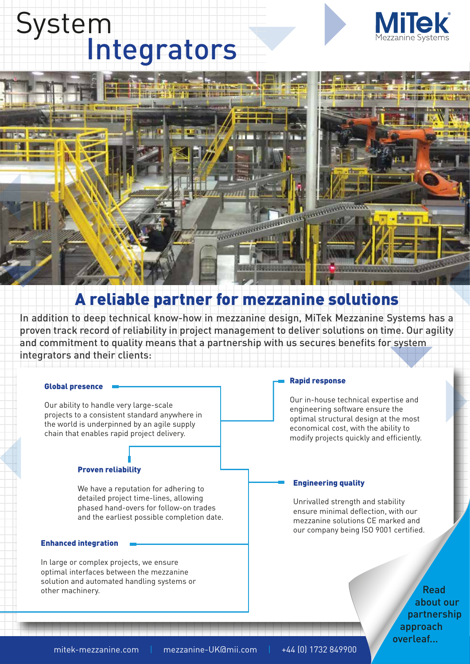# System<br>Integrators





# A reliable partner for mezzanine solutions

In addition to deep technical know-how in mezzanine design, MiTek Mezzanine Systems has a proven track record of reliability in project management to deliver solutions on time. Our agility and commitment to quality means that a partnership with us secures benefits for system integrators and their clients:

# Global presence

Our ability to handle very large-scale projects to a consistent standard anywhere in the world is underpinned by an agile supply chain that enables rapid project delivery.

# Proven reliability

We have a reputation for adhering to detailed project time-lines, allowing phased hand-overs for follow-on trades and the earliest possible completion date.

# Enhanced integration

In large or complex projects, we ensure optimal interfaces between the mezzanine solution and automated handling systems or other machinery.

### Rapid response

Our in-house technical expertise and engineering software ensure the optimal structural design at the most economical cost, with the ability to modify projects quickly and efficiently.

# Engineering quality

Unrivalled strength and stability ensure minimal deflection, with our mezzanine solutions CE marked and our company being ISO 9001 certified.

> Read about our partnership approach overleaf...

mitek-mezzanine.com | mezzanine-UK@mii.com | +44 (0) 1732 849900